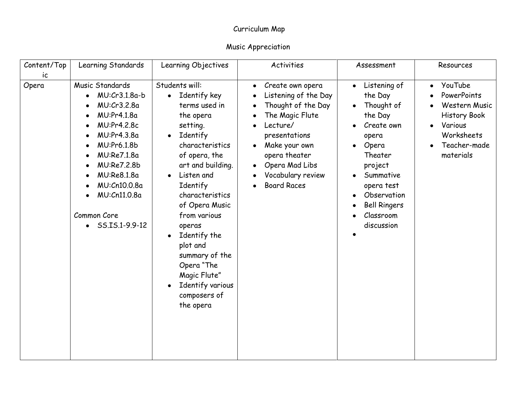| Content/Top | Learning Standards                                                                                                                                                                                                                    | Learning Objectives                                                                                                                                                                                                                                                                                                                                                                                                       | Activities                                                                                                                                                                                                                                           | Assessment                                                                                                                                                                                                                   | Resources                                                                                                                                      |
|-------------|---------------------------------------------------------------------------------------------------------------------------------------------------------------------------------------------------------------------------------------|---------------------------------------------------------------------------------------------------------------------------------------------------------------------------------------------------------------------------------------------------------------------------------------------------------------------------------------------------------------------------------------------------------------------------|------------------------------------------------------------------------------------------------------------------------------------------------------------------------------------------------------------------------------------------------------|------------------------------------------------------------------------------------------------------------------------------------------------------------------------------------------------------------------------------|------------------------------------------------------------------------------------------------------------------------------------------------|
| ic<br>Opera | Music Standards<br>$MU:Cr3.1.8a-b$<br>MU:Cr3.2.8a<br>MU:Pr4.1.8a<br>MU:Pr4.2.8c<br>MU:Pr4.3.8a<br>MU:Pr6.1.8b<br>MU:Re7.1.8a<br>MU:Re7.2.8b<br>MU:Re8.1.8a<br>MU:Cn10.0.8a<br>MU:Cn11.0.8a<br>Common Core<br>$\bullet$ SS.IS.1-9.9-12 | Students will:<br>• Identify key<br>terms used in<br>the opera<br>setting.<br>Identify<br>$\bullet$<br>characteristics<br>of opera, the<br>art and building.<br>Listen and<br>$\bullet$<br>Identify<br>characteristics<br>of Opera Music<br>from various<br>operas<br>Identify the<br>$\bullet$<br>plot and<br>summary of the<br>Opera "The<br>Magic Flute"<br>Identify various<br>$\bullet$<br>composers of<br>the opera | Create own opera<br>$\bullet$<br>Listening of the Day<br>Thought of the Day<br>The Magic Flute<br>Lecture/<br>presentations<br>Make your own<br>$\bullet$<br>opera theater<br>Opera Mad Libs<br>$\bullet$<br>Vocabulary review<br><b>Board Races</b> | Listening of<br>$\bullet$<br>the Day<br>Thought of<br>the Day<br>Create own<br>opera<br>Opera<br>$\bullet$<br>Theater<br>project<br>Summative<br>opera test<br>Observation<br><b>Bell Ringers</b><br>Classroom<br>discussion | YouTube<br>$\bullet$<br>PowerPoints<br>Western Music<br><b>History Book</b><br>Various<br>$\bullet$<br>Worksheets<br>Teacher-made<br>materials |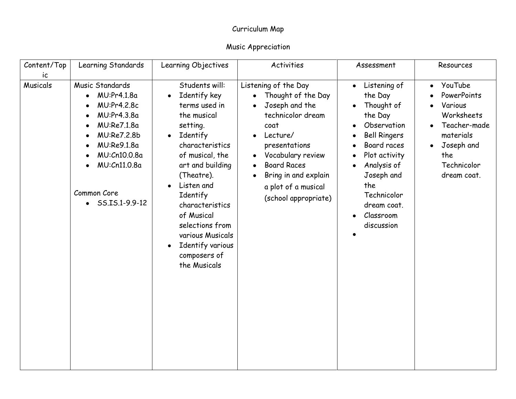| Content/Top           | Learning Standards                                                                                                                                                                      | Learning Objectives                                                                                                                                                                                                                                                                                                                                         | Activities                                                                                                                                                                                                                                                                                                | Assessment                                                                                                                                                                                                                                    | Resources                                                                                                                                    |
|-----------------------|-----------------------------------------------------------------------------------------------------------------------------------------------------------------------------------------|-------------------------------------------------------------------------------------------------------------------------------------------------------------------------------------------------------------------------------------------------------------------------------------------------------------------------------------------------------------|-----------------------------------------------------------------------------------------------------------------------------------------------------------------------------------------------------------------------------------------------------------------------------------------------------------|-----------------------------------------------------------------------------------------------------------------------------------------------------------------------------------------------------------------------------------------------|----------------------------------------------------------------------------------------------------------------------------------------------|
| ic<br><b>Musicals</b> | Music Standards<br>MU:Pr4.1.8a<br>$\bullet$<br>MU:Pr4.2.8c<br>MU:Pr4.3.8a<br>MU:Re7.1.8a<br>MU:Re7.2.8b<br>MU:Re9.1.8a<br>MU:Cn10.0.8a<br>MU:Cn11.0.8a<br>Common Core<br>SS.IS.1-9.9-12 | Students will:<br>Identify key<br>terms used in<br>the musical<br>setting.<br>Identify<br>$\bullet$<br>characteristics<br>of musical, the<br>art and building<br>(Theatre).<br>Listen and<br>$\bullet$<br>Identify<br>characteristics<br>of Musical<br>selections from<br>various Musicals<br>Identify various<br>$\bullet$<br>composers of<br>the Musicals | Listening of the Day<br>Thought of the Day<br>Joseph and the<br>$\bullet$<br>technicolor dream<br>coat<br>Lecture/<br>$\bullet$<br>presentations<br>Vocabulary review<br>$\bullet$<br><b>Board Races</b><br>$\bullet$<br>Bring in and explain<br>$\bullet$<br>a plot of a musical<br>(school appropriate) | Listening of<br>$\bullet$<br>the Day<br>Thought of<br>the Day<br>Observation<br><b>Bell Ringers</b><br>Board races<br>Plot activity<br>Analysis of<br>Joseph and<br>the<br>Technicolor<br>dream coat.<br>Classroom<br>$\bullet$<br>discussion | YouTube<br>$\bullet$<br>PowerPoints<br>Various<br>Worksheets<br>Teacher-made<br>materials<br>Joseph and<br>the<br>Technicolor<br>dream coat. |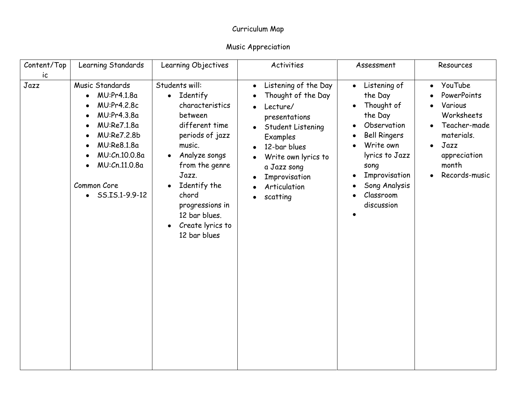| Content/Top<br>ic | Learning Standards                                                                                                                                                                                  | Learning Objectives                                                                                                                                                                                                                                                 | <b>Activities</b>                                                                                                                                                                                                                     | Assessment                                                                                                                                                                                              | Resources                                                                                                                                                 |
|-------------------|-----------------------------------------------------------------------------------------------------------------------------------------------------------------------------------------------------|---------------------------------------------------------------------------------------------------------------------------------------------------------------------------------------------------------------------------------------------------------------------|---------------------------------------------------------------------------------------------------------------------------------------------------------------------------------------------------------------------------------------|---------------------------------------------------------------------------------------------------------------------------------------------------------------------------------------------------------|-----------------------------------------------------------------------------------------------------------------------------------------------------------|
| Jazz              | Music Standards<br>MU:Pr4.1.8a<br>$\bullet$<br>MU:Pr4.2.8c<br>MU:Pr4.3.8a<br>MU:Re7.1.8a<br>MU:Re7.2.8b<br>MU:Re8.1.8a<br>MU:Cn.10.0.8a<br>MU:Cn.11.0.8a<br>Common Core<br>$\bullet$ SS.IS.1-9.9-12 | Students will:<br>• Identify<br>characteristics<br>between<br>different time<br>periods of jazz<br>music.<br>Analyze songs<br>$\bullet$<br>from the genre<br>Jazz.<br>Identify the<br>chord<br>progressions in<br>12 bar blues.<br>Create lyrics to<br>12 bar blues | Listening of the Day<br>$\bullet$<br>Thought of the Day<br>Lecture/<br>presentations<br>Student Listening<br>$\bullet$<br>Examples<br>12-bar blues<br>Write own lyrics to<br>a Jazz song<br>Improvisation<br>Articulation<br>scatting | Listening of<br>$\bullet$<br>the Day<br>Thought of<br>the Day<br>Observation<br><b>Bell Ringers</b><br>Write own<br>lyrics to Jazz<br>song<br>Improvisation<br>Song Analysis<br>Classroom<br>discussion | YouTube<br>$\bullet$<br>PowerPoints<br>Various<br>Worksheets<br>Teacher-made<br>materials.<br>Jazz<br>$\bullet$<br>appreciation<br>month<br>Records-music |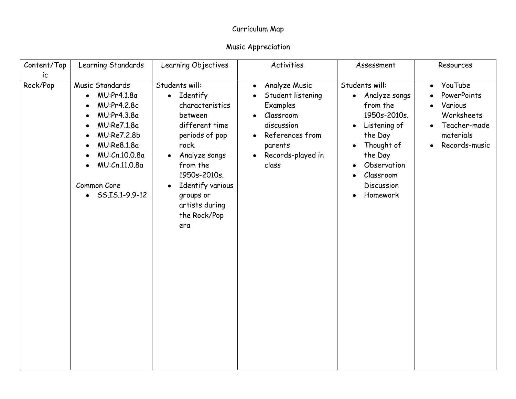| Content/Top | Learning Standards                                                                                                                                                                                  | Learning Objectives                                                                                                                                                                                                                                                 | Activities                                                                                                                                                                                             | Assessment                                                                                                                                                                         | Resources                                                                                                  |
|-------------|-----------------------------------------------------------------------------------------------------------------------------------------------------------------------------------------------------|---------------------------------------------------------------------------------------------------------------------------------------------------------------------------------------------------------------------------------------------------------------------|--------------------------------------------------------------------------------------------------------------------------------------------------------------------------------------------------------|------------------------------------------------------------------------------------------------------------------------------------------------------------------------------------|------------------------------------------------------------------------------------------------------------|
| ic          |                                                                                                                                                                                                     |                                                                                                                                                                                                                                                                     |                                                                                                                                                                                                        |                                                                                                                                                                                    |                                                                                                            |
| Rock/Pop    | Music Standards<br>MU:Pr4.1.8a<br>$\bullet$<br>MU:Pr4.2.8c<br>MU:Pr4.3.8a<br>MU:Re7.1.8a<br>MU:Re7.2.8b<br>MU:Re8.1.8a<br>MU:Cn.10.0.8a<br>MU:Cn.11.0.8a<br>Common Core<br>$\bullet$ SS.IS.1-9.9-12 | Students will:<br>Identify<br>$\bullet$<br>characteristics<br>between<br>different time<br>periods of pop<br>rock.<br>Analyze songs<br>$\bullet$<br>from the<br>1950s-2010s.<br>Identify various<br>$\bullet$<br>groups or<br>artists during<br>the Rock/Pop<br>era | Analyze Music<br>$\bullet$<br>Student listening<br>$\bullet$<br>Examples<br>Classroom<br>$\bullet$<br>discussion<br>References from<br>$\bullet$<br>parents<br>Records-played in<br>$\bullet$<br>class | Students will:<br>Analyze songs<br>$\bullet$<br>from the<br>1950s-2010s.<br>Listening of<br>the Day<br>Thought of<br>the Day<br>Observation<br>Classroom<br>Discussion<br>Homework | YouTube<br>$\bullet$<br>PowerPoints<br>Various<br>Worksheets<br>Teacher-made<br>materials<br>Records-music |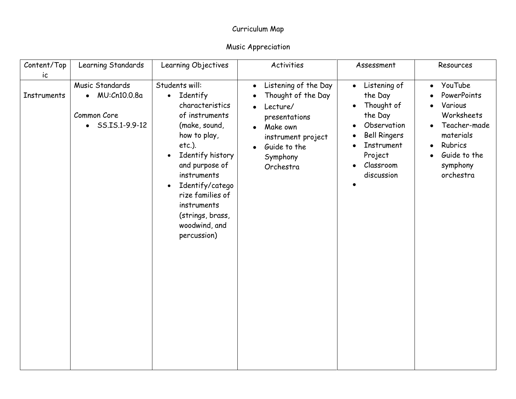| Content/Top<br>ic  | Learning Standards                                                                   | Learning Objectives                                                                                                                                                                                                                                                                                                 | Activities                                                                                                                                                                                             | Assessment                                                                                                                                              | Resources                                                                                                                                                  |
|--------------------|--------------------------------------------------------------------------------------|---------------------------------------------------------------------------------------------------------------------------------------------------------------------------------------------------------------------------------------------------------------------------------------------------------------------|--------------------------------------------------------------------------------------------------------------------------------------------------------------------------------------------------------|---------------------------------------------------------------------------------------------------------------------------------------------------------|------------------------------------------------------------------------------------------------------------------------------------------------------------|
| <b>Instruments</b> | Music Standards<br>$\bullet$ MU:Cn10.0.8a<br>Common Core<br>$\bullet$ SS.IS.1-9.9-12 | Students will:<br>Identify<br>$\bullet$<br>characteristics<br>of instruments<br>(make, sound,<br>how to play,<br>$etc.$ ).<br>Identify history<br>$\bullet$<br>and purpose of<br>instruments<br>Identify/catego<br>$\bullet$<br>rize families of<br>instruments<br>(strings, brass,<br>woodwind, and<br>percussion) | Listening of the Day<br>$\bullet$<br>Thought of the Day<br>Lecture/<br>$\bullet$<br>presentations<br>Make own<br>$\bullet$<br>instrument project<br>Guide to the<br>$\bullet$<br>Symphony<br>Orchestra | Listening of<br>$\bullet$<br>the Day<br>Thought of<br>the Day<br>Observation<br><b>Bell Ringers</b><br>Instrument<br>Project<br>Classroom<br>discussion | YouTube<br>$\bullet$<br>PowerPoints<br>Various<br>Worksheets<br>Teacher-made<br>materials<br>Rubrics<br>$\bullet$<br>Guide to the<br>symphony<br>orchestra |
|                    |                                                                                      |                                                                                                                                                                                                                                                                                                                     |                                                                                                                                                                                                        |                                                                                                                                                         |                                                                                                                                                            |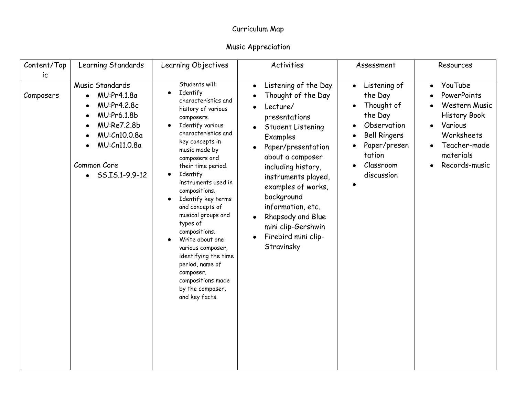| Content/Top<br>ic | Learning Standards                                                                                                                                     | Learning Objectives                                                                                                                                                                                                                                                                                                                                                                                                                                                                                                                              | Activities                                                                                                                                                                                                                                                                                                                                                                                                | Assessment                                                                                                                                               | Resources                                                                                                                                                       |
|-------------------|--------------------------------------------------------------------------------------------------------------------------------------------------------|--------------------------------------------------------------------------------------------------------------------------------------------------------------------------------------------------------------------------------------------------------------------------------------------------------------------------------------------------------------------------------------------------------------------------------------------------------------------------------------------------------------------------------------------------|-----------------------------------------------------------------------------------------------------------------------------------------------------------------------------------------------------------------------------------------------------------------------------------------------------------------------------------------------------------------------------------------------------------|----------------------------------------------------------------------------------------------------------------------------------------------------------|-----------------------------------------------------------------------------------------------------------------------------------------------------------------|
| Composers         | Music Standards<br>MU:Pr4.1.8a<br>MU:Pr4.2.8c<br>MU:Pr6.1.8b<br>MU:Re7.2.8b<br>MU:Cn10.0.8a<br>MU:Cn11.0.8a<br>Common Core<br>$\bullet$ SS.IS.1-9.9-12 | Students will:<br>Identify<br>$\bullet$<br>characteristics and<br>history of various<br>composers.<br>Identify various<br>characteristics and<br>key concepts in<br>music made by<br>composers and<br>their time period.<br>Identify<br>$\bullet$<br>instruments used in<br>compositions.<br>Identify key terms<br>and concepts of<br>musical groups and<br>types of<br>compositions.<br>Write about one<br>various composer,<br>identifying the time<br>period, name of<br>composer,<br>compositions made<br>by the composer,<br>and key facts. | Listening of the Day<br>$\bullet$<br>Thought of the Day<br>Lecture/<br>$\bullet$<br>presentations<br>Student Listening<br>$\bullet$<br>Examples<br>Paper/presentation<br>$\bullet$<br>about a composer<br>including history,<br>instruments played,<br>examples of works,<br>background<br>information, etc.<br>Rhapsody and Blue<br>mini clip-Gershwin<br>Firebird mini clip-<br>$\bullet$<br>Stravinsky | Listening of<br>$\bullet$<br>the Day<br>Thought of<br>the Day<br>Observation<br><b>Bell Ringers</b><br>Paper/presen<br>tation<br>Classroom<br>discussion | YouTube<br>$\bullet$<br>PowerPoints<br>Western Music<br><b>History Book</b><br>Various<br>Worksheets<br>Teacher-made<br>materials<br>Records-music<br>$\bullet$ |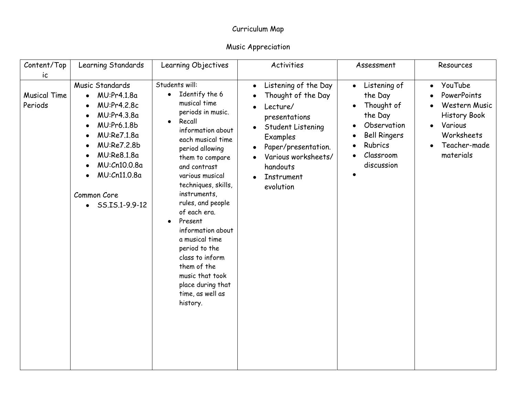| Content/Top                           | Learning Standards                                                                                                                                                                                               | Learning Objectives                                                                                                                                                                                                                                                                                                                                                                                                                                                                   | Activities                                                                                                                                                                                                                           | Assessment                                                                                                                                | Resources                                                                                                                         |
|---------------------------------------|------------------------------------------------------------------------------------------------------------------------------------------------------------------------------------------------------------------|---------------------------------------------------------------------------------------------------------------------------------------------------------------------------------------------------------------------------------------------------------------------------------------------------------------------------------------------------------------------------------------------------------------------------------------------------------------------------------------|--------------------------------------------------------------------------------------------------------------------------------------------------------------------------------------------------------------------------------------|-------------------------------------------------------------------------------------------------------------------------------------------|-----------------------------------------------------------------------------------------------------------------------------------|
| ic.<br><b>Musical Time</b><br>Periods | Music Standards<br>MU:Pr4.1.8a<br>$\bullet$<br>MU:Pr4.2.8c<br>MU:Pr4.3.8a<br>MU:Pr6.1.8b<br>MU:Re7.1.8a<br>MU:Re7.2.8b<br>MU:Re8.1.8a<br>MU:Cn10.0.8a<br>MU:Cn11.0.8a<br>Common Core<br>$\bullet$ SS.IS.1-9.9-12 | Students will:<br>Identify the 6<br>$\bullet$<br>musical time<br>periods in music.<br>Recall<br>$\bullet$<br>information about<br>each musical time<br>period allowing<br>them to compare<br>and contrast<br>various musical<br>techniques, skills,<br>instruments,<br>rules, and people<br>of each era.<br>Present<br>information about<br>a musical time<br>period to the<br>class to inform<br>them of the<br>music that took<br>place during that<br>time, as well as<br>history. | Listening of the Day<br>$\bullet$<br>Thought of the Day<br>Lecture/<br>presentations<br>Student Listening<br>$\bullet$<br>Examples<br>Paper/presentation.<br>$\bullet$<br>Various worksheets/<br>handouts<br>Instrument<br>evolution | Listening of<br>$\bullet$<br>the Day<br>Thought of<br>the Day<br>Observation<br><b>Bell Ringers</b><br>Rubrics<br>Classroom<br>discussion | YouTube<br>$\bullet$<br>PowerPoints<br>Western Music<br><b>History Book</b><br>Various<br>Worksheets<br>Teacher-made<br>materials |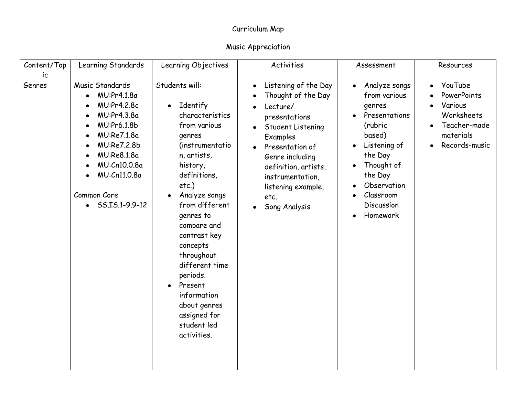| Content/Top  | Learning Standards                                                                                                                                                                                               | Learning Objectives                                                                                                                                                                                                                                                                                                                                                                                     | <b>Activities</b>                                                                                                                                                                                                                                                                                          | Assessment                                                                                                                                                                                                                                  | Resources                                                                                                  |
|--------------|------------------------------------------------------------------------------------------------------------------------------------------------------------------------------------------------------------------|---------------------------------------------------------------------------------------------------------------------------------------------------------------------------------------------------------------------------------------------------------------------------------------------------------------------------------------------------------------------------------------------------------|------------------------------------------------------------------------------------------------------------------------------------------------------------------------------------------------------------------------------------------------------------------------------------------------------------|---------------------------------------------------------------------------------------------------------------------------------------------------------------------------------------------------------------------------------------------|------------------------------------------------------------------------------------------------------------|
| ic<br>Genres | Music Standards<br>MU:Pr4.1.8a<br>$\bullet$<br>MU:Pr4.2.8c<br>MU:Pr4.3.8a<br>MU:Pr6.1.8b<br>MU:Re7.1.8a<br>MU:Re7.2.8b<br>MU:Re8.1.8a<br>MU:Cn10.0.8a<br>MU:Cn11.0.8a<br>Common Core<br>$\bullet$ SS.IS.1-9.9-12 | Students will:<br>Identify<br>$\bullet$<br>characteristics<br>from various<br>genres<br>(instrumentatio<br>n, artists,<br>history,<br>definitions,<br>etc.)<br>Analyze songs<br>from different<br>genres to<br>compare and<br>contrast key<br>concepts<br>throughout<br>different time<br>periods.<br>Present<br>$\bullet$<br>information<br>about genres<br>assigned for<br>student led<br>activities. | Listening of the Day<br>$\bullet$<br>Thought of the Day<br>Lecture/<br>$\bullet$<br>presentations<br>Student Listening<br>$\bullet$<br>Examples<br>Presentation of<br>$\bullet$<br>Genre including<br>definition, artists,<br>instrumentation,<br>listening example,<br>etc.<br>Song Analysis<br>$\bullet$ | Analyze songs<br>$\bullet$<br>from various<br>genres<br>Presentations<br>$\bullet$<br>(rubric<br>based)<br>Listening of<br>$\bullet$<br>the Day<br>Thought of<br>the Day<br>Observation<br>Classroom<br>Discussion<br>Homework<br>$\bullet$ | YouTube<br>$\bullet$<br>PowerPoints<br>Various<br>Worksheets<br>Teacher-made<br>materials<br>Records-music |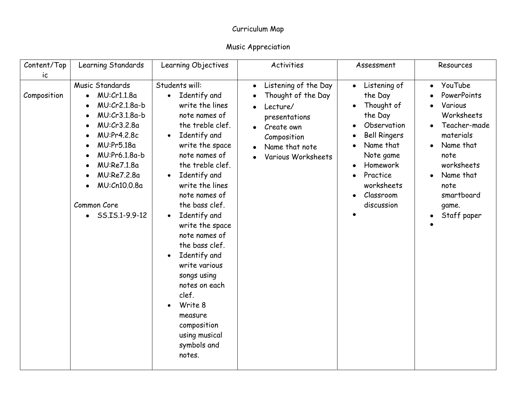| Content/Top<br>ic | Learning Standards                                                                                                                                                                                                                  | Learning Objectives                                                                                                                                                                                                                                                                                                                                                                                                                                                                                                                               | <b>Activities</b>                                                                                                                                         | Assessment                                                                                                                                                                                                  | Resources                                                                                                                                                                               |
|-------------------|-------------------------------------------------------------------------------------------------------------------------------------------------------------------------------------------------------------------------------------|---------------------------------------------------------------------------------------------------------------------------------------------------------------------------------------------------------------------------------------------------------------------------------------------------------------------------------------------------------------------------------------------------------------------------------------------------------------------------------------------------------------------------------------------------|-----------------------------------------------------------------------------------------------------------------------------------------------------------|-------------------------------------------------------------------------------------------------------------------------------------------------------------------------------------------------------------|-----------------------------------------------------------------------------------------------------------------------------------------------------------------------------------------|
| Composition       | Music Standards<br>MU:Cr1.1.8a<br>$\bullet$<br>MU:Cr2.1.8a-b<br>MU:Cr3.1.8a-b<br>MU:Cr3.2.8a<br>MU:Pr4.2.8c<br>MU:Pr5.18a<br>MU:Pr6.1.8a-b<br>MU:Re7.1.8a<br>MU:Re7.2.8a<br>MU:Cn10.0.8a<br>Common Core<br>$\bullet$ SS.IS.1-9.9-12 | Students will:<br>Identify and<br>$\bullet$<br>write the lines<br>note names of<br>the treble clef.<br>Identify and<br>$\bullet$<br>write the space<br>note names of<br>the treble clef.<br>Identify and<br>$\bullet$<br>write the lines<br>note names of<br>the bass clef.<br>Identify and<br>$\bullet$<br>write the space<br>note names of<br>the bass clef.<br>Identify and<br>$\bullet$<br>write various<br>songs using<br>notes on each<br>clef.<br>Write 8<br>$\bullet$<br>measure<br>composition<br>using musical<br>symbols and<br>notes. | Listening of the Day<br>$\bullet$<br>Thought of the Day<br>Lecture/<br>presentations<br>Create own<br>Composition<br>Name that note<br>Various Worksheets | Listening of<br>$\bullet$<br>the Day<br>Thought of<br>the Day<br>Observation<br><b>Bell Ringers</b><br>Name that<br>Note game<br>Homework<br>$\bullet$<br>Practice<br>worksheets<br>Classroom<br>discussion | YouTube<br>$\bullet$<br>PowerPoints<br>Various<br>Worksheets<br>Teacher-made<br>materials<br>Name that<br>note<br>worksheets<br>Name that<br>note<br>smartboard<br>game.<br>Staff paper |